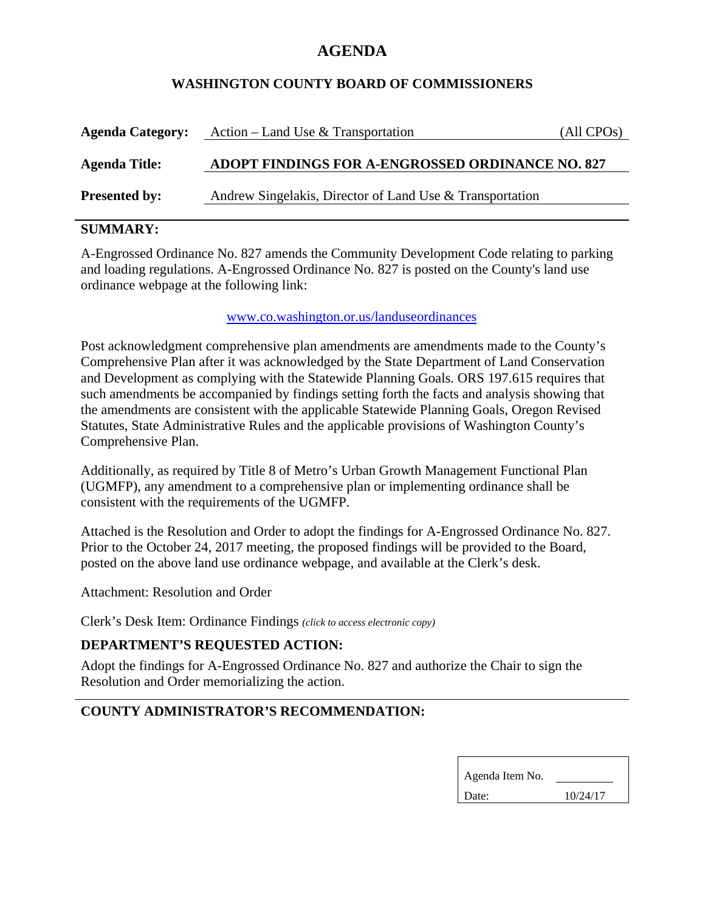# **AGENDA**

### **WASHINGTON COUNTY BOARD OF COMMISSIONERS**

| <b>Agenda Category:</b> | Action – Land Use & Transportation                       | (All CPOs) |
|-------------------------|----------------------------------------------------------|------------|
| <b>Agenda Title:</b>    | ADOPT FINDINGS FOR A-ENGROSSED ORDINANCE NO. 827         |            |
| <b>Presented by:</b>    | Andrew Singelakis, Director of Land Use & Transportation |            |

## **SUMMARY:**

A-Engrossed Ordinance No. 827 amends the Community Development Code relating to parking and loading regulations. A-Engrossed Ordinance No. 827 is posted on the County's land use ordinance webpage at the following link:

#### www.co.washington.or.us/landuseordinances

Post acknowledgment comprehensive plan amendments are amendments made to the County's Comprehensive Plan after it was acknowledged by the State Department of Land Conservation and Development as complying with the Statewide Planning Goals. ORS 197.615 requires that such amendments be accompanied by findings setting forth the facts and analysis showing that the amendments are consistent with the applicable Statewide Planning Goals, Oregon Revised Statutes, State Administrative Rules and the applicable provisions of Washington County's Comprehensive Plan.

Additionally, as required by Title 8 of Metro's Urban Growth Management Functional Plan (UGMFP), any amendment to a comprehensive plan or implementing ordinance shall be consistent with the requirements of the UGMFP.

Attached is the Resolution and Order to adopt the findings for A-Engrossed Ordinance No. 827. Prior to the October 24, 2017 meeting, the proposed findings will be provided to the Board, posted on the above land use ordinance webpage, and available at the Clerk's desk.

Attachment: Resolution and Order

Clerk's Desk Item: Ordinance Findings *(click to access electronic copy)*

## **DEPARTMENT'S REQUESTED ACTION:**

Adopt the findings for A-Engrossed Ordinance No. 827 and authorize the Chair to sign the Resolution and Order memorializing the action.

## **COUNTY ADMINISTRATOR'S RECOMMENDATION:**

| Agenda Item No. |          |  |
|-----------------|----------|--|
| Date:           | 10/24/17 |  |